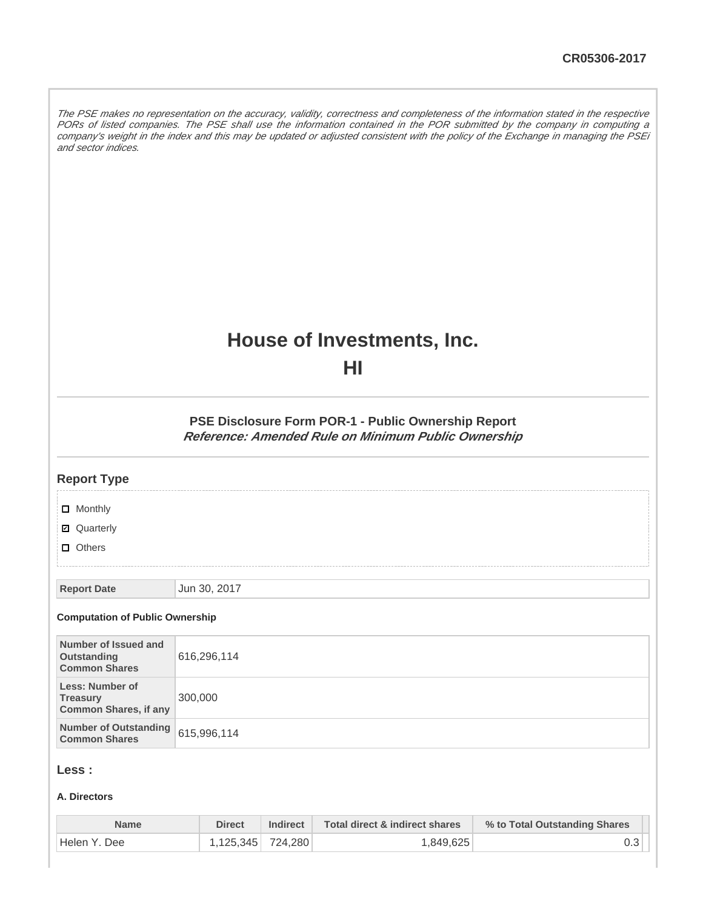The PSE makes no representation on the accuracy, validity, correctness and completeness of the information stated in the respective PORs of listed companies. The PSE shall use the information contained in the POR submitted by the company in computing a company's weight in the index and this may be updated or adjusted consistent with the policy of the Exchange in managing the PSEi and sector indices.

# **House of Investments, Inc.**

**HI**

**PSE Disclosure Form POR-1 - Public Ownership Report Reference: Amended Rule on Minimum Public Ownership**

| <b>Report Type</b>                                                        |              |
|---------------------------------------------------------------------------|--------------|
| $\Box$ Monthly                                                            |              |
| ■ Quarterly                                                               |              |
| $\Box$ Others                                                             |              |
| <b>Report Date</b>                                                        | Jun 30, 2017 |
| <b>Computation of Public Ownership</b>                                    |              |
| Number of Issued and<br>Outstanding<br><b>Common Shares</b>               | 616,296,114  |
| <b>Less: Number of</b><br><b>Treasury</b><br><b>Common Shares, if any</b> | 300,000      |
| <b>Number of Outstanding</b><br><b>Common Shares</b>                      | 615,996,114  |
|                                                                           |              |

# **Less :**

### **A. Directors**

| Name          | Direct            | <b>Indirect</b> | Total direct & indirect shares | % to Total Outstanding Shares |
|---------------|-------------------|-----------------|--------------------------------|-------------------------------|
| 'Helen Y. Dee | 1.125.345 724.280 |                 | 1,849,625                      |                               |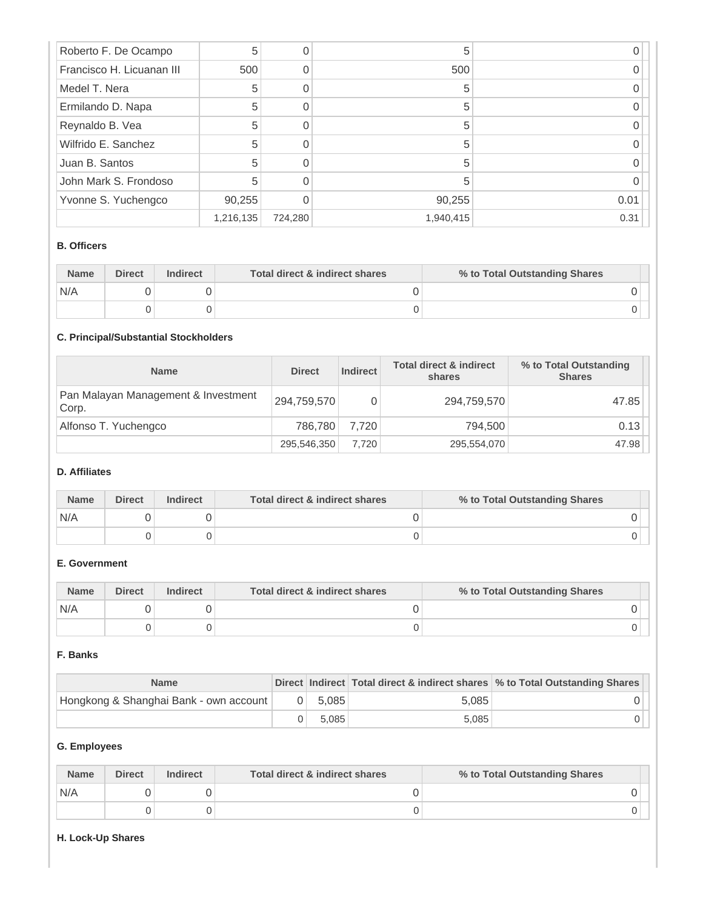| Roberto F. De Ocampo      | 5         | 0       | 5         |      |
|---------------------------|-----------|---------|-----------|------|
| Francisco H. Licuanan III | 500       |         | 500       |      |
| Medel T. Nera             | 5         |         |           |      |
| Ermilando D. Napa         | 5         | 0       | 5         |      |
| Reynaldo B. Vea           | 5         | 0       | 5         |      |
| Wilfrido E. Sanchez       | 5         |         | 5         |      |
| Juan B. Santos            | 5         |         |           |      |
| John Mark S. Frondoso     | 5         |         | 5         |      |
| Yvonne S. Yuchengco       | 90,255    | O       | 90,255    | 0.01 |
|                           | 1,216,135 | 724,280 | 1,940,415 | 0.31 |

## **B. Officers**

| <b>Name</b> | <b>Direct</b> | <b>Indirect</b> | Total direct & indirect shares | % to Total Outstanding Shares |
|-------------|---------------|-----------------|--------------------------------|-------------------------------|
| N/A         |               |                 |                                |                               |
|             |               |                 |                                |                               |

## **C. Principal/Substantial Stockholders**

| <b>Name</b>                                  | <b>Direct</b> | <b>Indirect</b> | <b>Total direct &amp; indirect</b><br>shares | % to Total Outstanding<br><b>Shares</b> |
|----------------------------------------------|---------------|-----------------|----------------------------------------------|-----------------------------------------|
| Pan Malayan Management & Investment<br>Corp. | 294,759,570   | 0               | 294,759,570                                  | 47.85                                   |
| Alfonso T. Yuchengco                         | 786.780       | 7.720           | 794.500                                      | 0.13                                    |
|                                              | 295,546,350   | 7.720           | 295,554,070                                  | 47.98                                   |

## **D. Affiliates**

| <b>Name</b> | <b>Direct</b> | <b>Indirect</b> | Total direct & indirect shares | % to Total Outstanding Shares |  |
|-------------|---------------|-----------------|--------------------------------|-------------------------------|--|
| N/A         |               |                 |                                |                               |  |
|             |               |                 |                                |                               |  |

# **E. Government**

| <b>Name</b> | <b>Direct</b> | <b>Indirect</b> | Total direct & indirect shares | % to Total Outstanding Shares |
|-------------|---------------|-----------------|--------------------------------|-------------------------------|
| N/A         |               |                 |                                |                               |
|             |               |                 |                                |                               |

### **F. Banks**

| <b>Name</b>                            |          |       |       | Direct Indirect Total direct & indirect shares % to Total Outstanding Shares |
|----------------------------------------|----------|-------|-------|------------------------------------------------------------------------------|
| Hongkong & Shanghai Bank - own account | $\Omega$ | 5.085 | 5.085 |                                                                              |
|                                        |          | 5.085 | 5.085 |                                                                              |

## **G. Employees**

| <b>Name</b> | <b>Direct</b> | <b>Indirect</b> | Total direct & indirect shares | % to Total Outstanding Shares |
|-------------|---------------|-----------------|--------------------------------|-------------------------------|
| N/A         |               |                 |                                |                               |
|             |               |                 |                                |                               |

## **H. Lock-Up Shares**